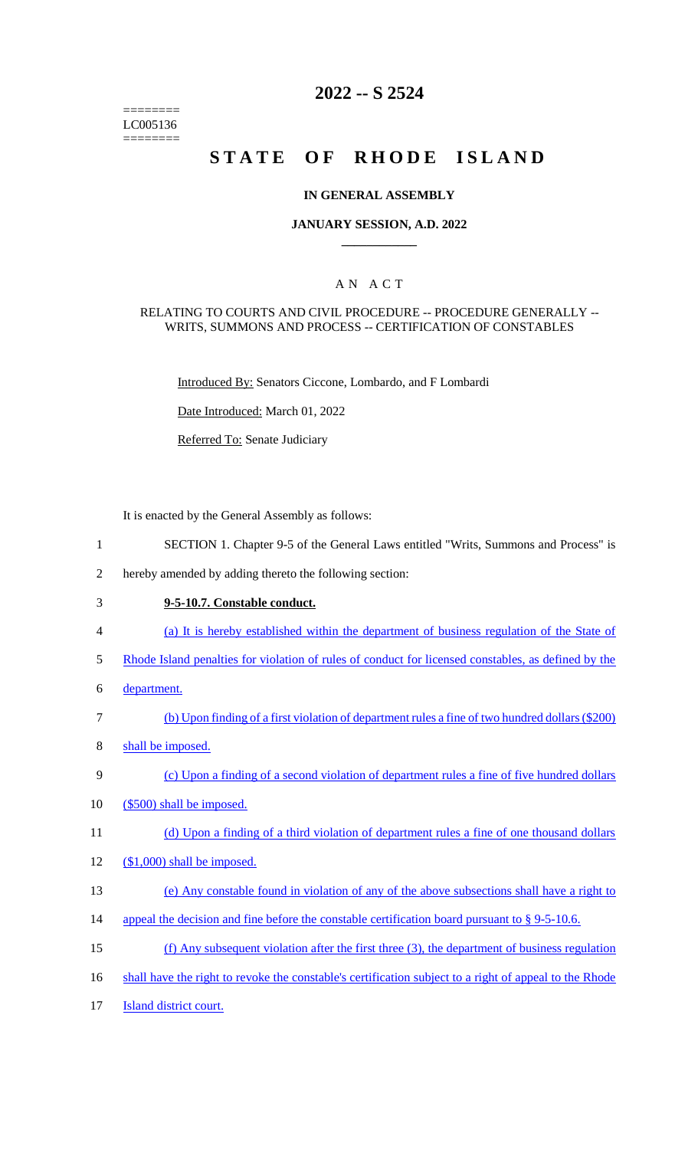======== LC005136 ========

# **2022 -- S 2524**

# **STATE OF RHODE ISLAND**

### **IN GENERAL ASSEMBLY**

### **JANUARY SESSION, A.D. 2022 \_\_\_\_\_\_\_\_\_\_\_\_**

### A N A C T

### RELATING TO COURTS AND CIVIL PROCEDURE -- PROCEDURE GENERALLY -- WRITS, SUMMONS AND PROCESS -- CERTIFICATION OF CONSTABLES

Introduced By: Senators Ciccone, Lombardo, and F Lombardi

Date Introduced: March 01, 2022

Referred To: Senate Judiciary

It is enacted by the General Assembly as follows:

- 1 SECTION 1. Chapter 9-5 of the General Laws entitled "Writs, Summons and Process" is
- 2 hereby amended by adding thereto the following section:
- 3 **9-5-10.7. Constable conduct.** 
	-
- 4 (a) It is hereby established within the department of business regulation of the State of
- 5 Rhode Island penalties for violation of rules of conduct for licensed constables, as defined by the
- 6 department.
- 7 (b) Upon finding of a first violation of department rules a fine of two hundred dollars (\$200)
- 8 shall be imposed.
- 9 (c) Upon a finding of a second violation of department rules a fine of five hundred dollars
- 10 (\$500) shall be imposed.
- 11 (d) Upon a finding of a third violation of department rules a fine of one thousand dollars
- 12 (\$1,000) shall be imposed.
- 13 (e) Any constable found in violation of any of the above subsections shall have a right to
- 14 appeal the decision and fine before the constable certification board pursuant to § 9-5-10.6.
- 15 (f) Any subsequent violation after the first three (3), the department of business regulation
- 16 shall have the right to revoke the constable's certification subject to a right of appeal to the Rhode
- 17 **Island district court.**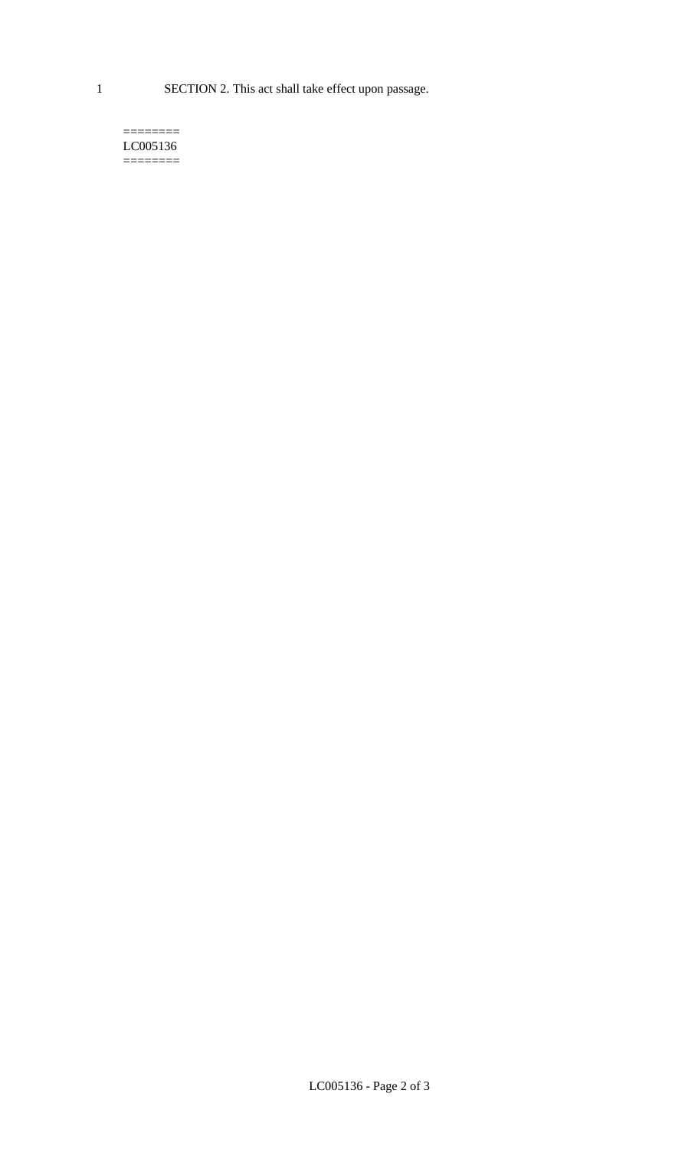1 SECTION 2. This act shall take effect upon passage.

#### $=$ LC005136 ========